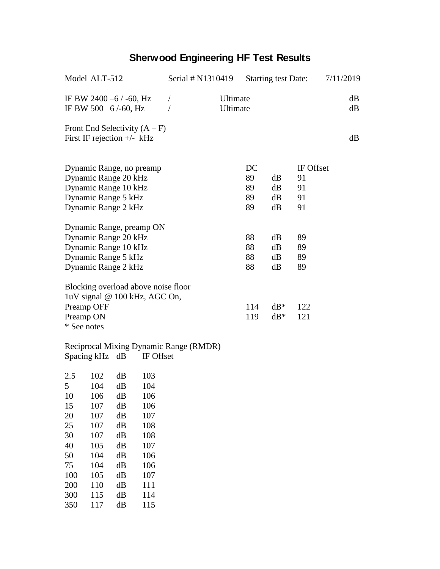## **Sherwood Engineering HF Test Results**

| Model ALT-512                          | Serial # N1310419 |          |          | <b>Starting test Date:</b> |           | 7/11/2019 |
|----------------------------------------|-------------------|----------|----------|----------------------------|-----------|-----------|
| IF BW 2400 $-6$ / $-60$ , Hz           | $\sqrt{2}$        | Ultimate |          |                            |           | dB        |
| IF BW 500 $-6$ /-60, Hz                |                   | Ultimate |          |                            |           | dB        |
| Front End Selectivity $(A - F)$        |                   |          |          |                            |           |           |
| First IF rejection $+/-$ kHz           |                   |          |          |                            |           | dB        |
|                                        |                   |          |          |                            |           |           |
| Dynamic Range, no preamp               |                   |          | DC       |                            | IF Offset |           |
| Dynamic Range 20 kHz                   |                   |          | 89<br>89 | dB                         | 91        |           |
| Dynamic Range 10 kHz                   |                   |          |          | dB                         | 91        |           |
| Dynamic Range 5 kHz                    |                   |          | 89<br>89 | dB<br>dB                   | 91<br>91  |           |
| Dynamic Range 2 kHz                    |                   |          |          |                            |           |           |
| Dynamic Range, preamp ON               |                   |          |          |                            |           |           |
| Dynamic Range 20 kHz                   |                   |          | 88       | dB                         | 89        |           |
| Dynamic Range 10 kHz                   |                   |          | 88       | dB                         | 89        |           |
| Dynamic Range 5 kHz                    |                   |          | 88       | dB                         | 89        |           |
| Dynamic Range 2 kHz                    |                   |          | 88       | dB                         | 89        |           |
| Blocking overload above noise floor    |                   |          |          |                            |           |           |
| 1uV signal @ 100 kHz, AGC On,          |                   |          |          |                            |           |           |
| Preamp OFF                             |                   |          | 114      | $dB^*$                     | 122       |           |
| Preamp ON                              |                   |          | 119      | $dB^*$                     | 121       |           |
| * See notes                            |                   |          |          |                            |           |           |
| Reciprocal Mixing Dynamic Range (RMDR) |                   |          |          |                            |           |           |

Spacing kHz dB IF Offset

| 2.5 | 102 | dB | 103 |
|-----|-----|----|-----|
| 5   | 104 | dB | 104 |
| 10  | 106 | dB | 106 |
| 15  | 107 | dB | 106 |
| 20  | 107 | dB | 107 |
| 25  | 107 | dB | 108 |
| 30  | 107 | dB | 108 |
| 40  | 105 | dB | 107 |
| 50  | 104 | dB | 106 |
| 75  | 104 | dB | 106 |
| 100 | 105 | dB | 107 |
| 200 | 110 | dB | 111 |
| 300 | 115 | dB | 114 |
| 350 | 117 | dВ | 115 |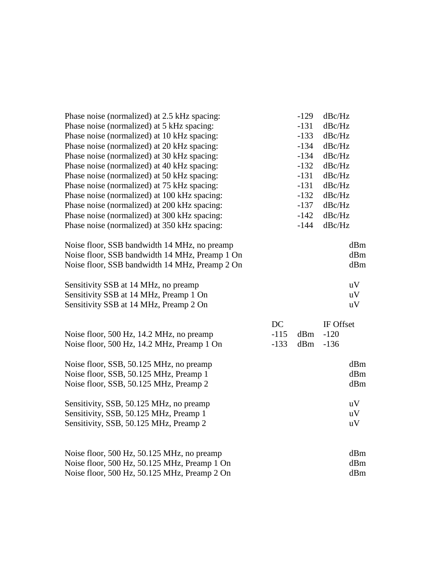| Phase noise (normalized) at 2.5 kHz spacing:                                                 |        | $-129$ | dBc/Hz    |                        |
|----------------------------------------------------------------------------------------------|--------|--------|-----------|------------------------|
| Phase noise (normalized) at 5 kHz spacing:                                                   |        | $-131$ | dBc/Hz    |                        |
| Phase noise (normalized) at 10 kHz spacing:                                                  |        | $-133$ | dBc/Hz    |                        |
| Phase noise (normalized) at 20 kHz spacing:                                                  |        | $-134$ | dBc/Hz    |                        |
| Phase noise (normalized) at 30 kHz spacing:                                                  |        | $-134$ | dBc/Hz    |                        |
| Phase noise (normalized) at 40 kHz spacing:                                                  |        | $-132$ | dBc/Hz    |                        |
| Phase noise (normalized) at 50 kHz spacing:                                                  |        | $-131$ | dBc/Hz    |                        |
| Phase noise (normalized) at 75 kHz spacing:                                                  |        | $-131$ | dBc/Hz    |                        |
| Phase noise (normalized) at 100 kHz spacing:                                                 |        | $-132$ | dBc/Hz    |                        |
| Phase noise (normalized) at 200 kHz spacing:                                                 |        | $-137$ | dBc/Hz    |                        |
| Phase noise (normalized) at 300 kHz spacing:                                                 |        | $-142$ | dBc/Hz    |                        |
| Phase noise (normalized) at 350 kHz spacing:                                                 |        | $-144$ | dBc/Hz    |                        |
| Noise floor, SSB bandwidth 14 MHz, no preamp                                                 |        |        |           | dBm                    |
| Noise floor, SSB bandwidth 14 MHz, Preamp 1 On                                               |        |        |           | dBm                    |
| Noise floor, SSB bandwidth 14 MHz, Preamp 2 On                                               |        |        |           | dBm                    |
| Sensitivity SSB at 14 MHz, no preamp                                                         |        |        |           | uV                     |
| Sensitivity SSB at 14 MHz, Preamp 1 On                                                       |        |        |           | $\mathbf{u}\mathbf{V}$ |
| Sensitivity SSB at 14 MHz, Preamp 2 On                                                       |        |        |           | $\mathbf{u}\mathbf{V}$ |
|                                                                                              | DC     |        | IF Offset |                        |
| Noise floor, 500 Hz, 14.2 MHz, no preamp                                                     | $-115$ | dBm    | $-120$    |                        |
| Noise floor, 500 Hz, 14.2 MHz, Preamp 1 On                                                   | $-133$ | dBm    | $-136$    |                        |
| Noise floor, SSB, 50.125 MHz, no preamp                                                      |        |        |           | dBm                    |
| Noise floor, SSB, 50.125 MHz, Preamp 1                                                       |        |        |           | dBm                    |
| Noise floor, SSB, 50.125 MHz, Preamp 2                                                       |        |        |           | dBm                    |
| Sensitivity, SSB, 50.125 MHz, no preamp                                                      |        |        |           | uV                     |
| Sensitivity, SSB, 50.125 MHz, Preamp 1                                                       |        |        |           | uV                     |
| Sensitivity, SSB, 50.125 MHz, Preamp 2                                                       |        |        |           | uV                     |
|                                                                                              |        |        |           |                        |
| Noise floor, 500 Hz, 50.125 MHz, no preamp                                                   |        |        |           | dBm                    |
| Noise floor, 500 Hz, 50.125 MHz, Preamp 1 On<br>Noise floor, 500 Hz, 50.125 MHz, Preamp 2 On |        |        |           | dBm                    |
|                                                                                              |        |        |           | dBm                    |